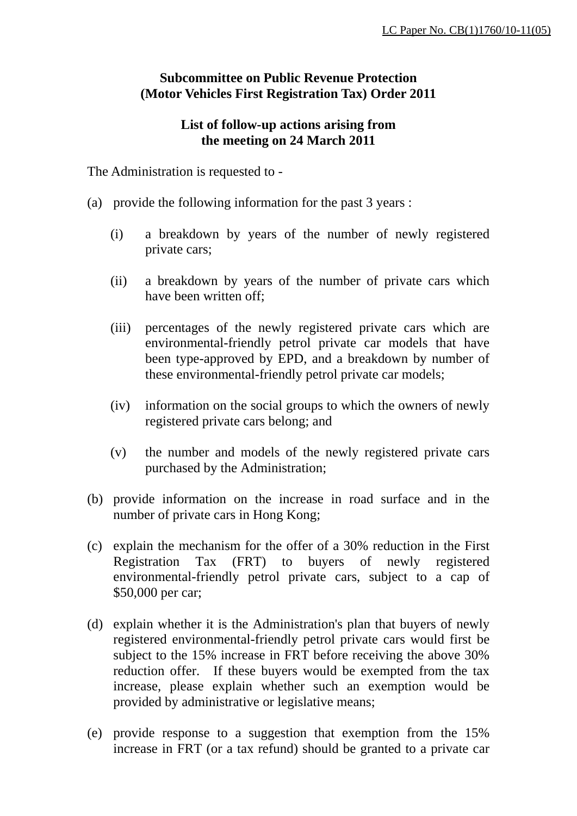## **Subcommittee on Public Revenue Protection (Motor Vehicles First Registration Tax) Order 2011**

## **List of follow-up actions arising from the meeting on 24 March 2011**

The Administration is requested to -

- (a) provide the following information for the past 3 years :
	- (i) a breakdown by years of the number of newly registered private cars;
	- (ii) a breakdown by years of the number of private cars which have been written off;
	- (iii) percentages of the newly registered private cars which are environmental-friendly petrol private car models that have been type-approved by EPD, and a breakdown by number of these environmental-friendly petrol private car models;
	- (iv) information on the social groups to which the owners of newly registered private cars belong; and
	- (v) the number and models of the newly registered private cars purchased by the Administration;
- (b) provide information on the increase in road surface and in the number of private cars in Hong Kong;
- (c) explain the mechanism for the offer of a 30% reduction in the First Registration Tax (FRT) to buyers of newly registered environmental-friendly petrol private cars, subject to a cap of \$50,000 per car;
- (d) explain whether it is the Administration's plan that buyers of newly registered environmental-friendly petrol private cars would first be subject to the 15% increase in FRT before receiving the above 30% reduction offer. If these buyers would be exempted from the tax increase, please explain whether such an exemption would be provided by administrative or legislative means;
- (e) provide response to a suggestion that exemption from the 15% increase in FRT (or a tax refund) should be granted to a private car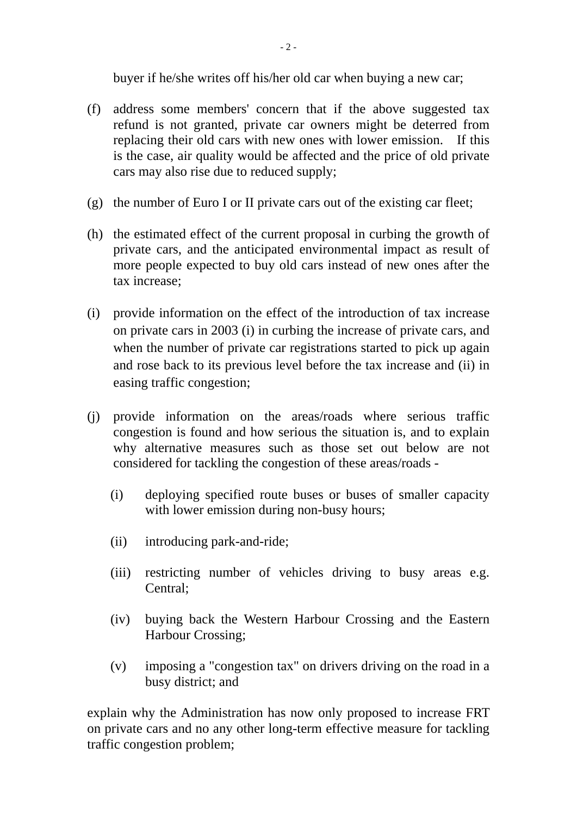buyer if he/she writes off his/her old car when buying a new car;

- (f) address some members' concern that if the above suggested tax refund is not granted, private car owners might be deterred from replacing their old cars with new ones with lower emission. If this is the case, air quality would be affected and the price of old private cars may also rise due to reduced supply;
- (g) the number of Euro I or II private cars out of the existing car fleet;
- (h) the estimated effect of the current proposal in curbing the growth of private cars, and the anticipated environmental impact as result of more people expected to buy old cars instead of new ones after the tax increase;
- (i) provide information on the effect of the introduction of tax increase on private cars in 2003 (i) in curbing the increase of private cars, and when the number of private car registrations started to pick up again and rose back to its previous level before the tax increase and (ii) in easing traffic congestion;
- (j) provide information on the areas/roads where serious traffic congestion is found and how serious the situation is, and to explain why alternative measures such as those set out below are not considered for tackling the congestion of these areas/roads -
	- (i) deploying specified route buses or buses of smaller capacity with lower emission during non-busy hours;
	- (ii) introducing park-and-ride;
	- (iii) restricting number of vehicles driving to busy areas e.g. Central;
	- (iv) buying back the Western Harbour Crossing and the Eastern Harbour Crossing;
	- (v) imposing a "congestion tax" on drivers driving on the road in a busy district; and

explain why the Administration has now only proposed to increase FRT on private cars and no any other long-term effective measure for tackling traffic congestion problem;